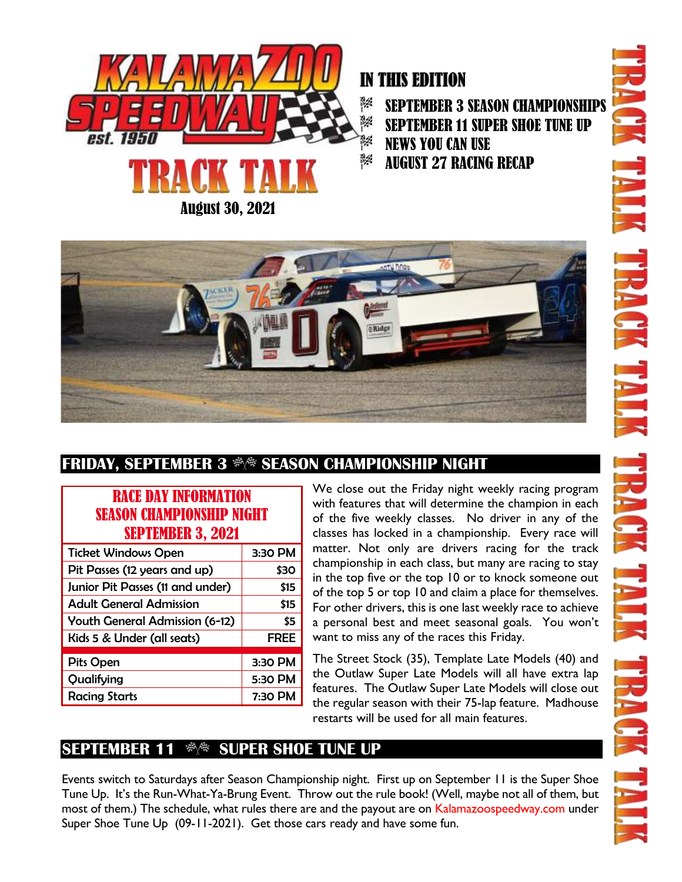

# IN THIS EDITION

SEPTEMBER 3 SEASON CHAMPIONSHIPS 3% SEPTEMBER 11 SUPER SHOE TUNE UP NEWS YOU CAN USE AUGUST 27 RACING RECAP



## **FRIDAY, SEPTEMBER 3**  $\Re$  **season championship night**

#### RACE DAY INFORMATION SEASON CHAMPIONSHIP NIGHT SEPTEMBER 3, 2021

| 3:30 PM     |  |
|-------------|--|
| \$30        |  |
| \$15        |  |
| \$15        |  |
| \$5         |  |
| <b>FREE</b> |  |
|             |  |
| 3:30 PM     |  |
| 5:30 PM     |  |
| 7:30 PM     |  |
|             |  |

We close out the Friday night weekly racing program with features that will determine the champion in each of the five weekly classes. No driver in any of the classes has locked in a championship. Every race will matter. Not only are drivers racing for the track championship in each class, but many are racing to stay in the top five or the top 10 or to knock someone out of the top 5 or top 10 and claim a place for themselves. For other drivers, this is one last weekly race to achieve a personal best and meet seasonal goals. You won't want to miss any of the races this Friday.

The Street Stock (35), Template Late Models (40) and the Outlaw Super Late Models will all have extra lap features. The Outlaw Super Late Models will close out the regular season with their 75-lap feature. Madhouse restarts will be used for all main features.

### **SEPTEMBER 11**  $\Re$  **SUPER SHOE TUNE UP**

Events switch to Saturdays after Season Championship night. First up on September 11 is the Super Shoe Tune Up. It's the Run-What-Ya-Brung Event. Throw out the rule book! (Well, maybe not all of them, but most of them.) The schedule, what rules there are and the payout are on Kalamazoospeedway.com under Super Shoe Tune Up (09-11-2021). Get those cars ready and have some fun.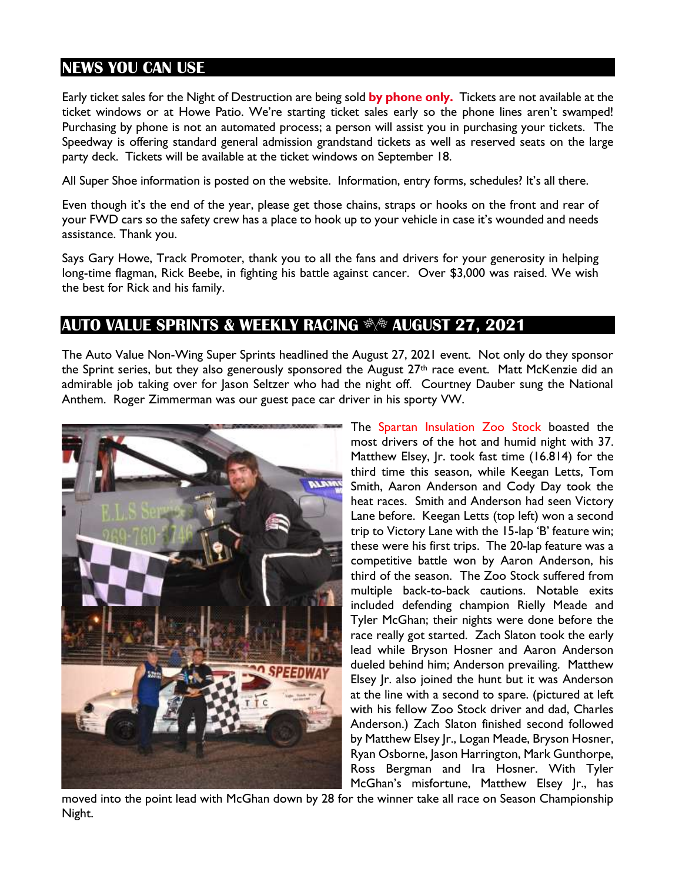### **NEWS YOU CAN USE**

Early ticket sales for the Night of Destruction are being sold **by phone only.** Tickets are not available at the ticket windows or at Howe Patio. We're starting ticket sales early so the phone lines aren't swamped! Purchasing by phone is not an automated process; a person will assist you in purchasing your tickets. The Speedway is offering standard general admission grandstand tickets as well as reserved seats on the large party deck. Tickets will be available at the ticket windows on September 18.

All Super Shoe information is posted on the website. Information, entry forms, schedules? It's all there.

Even though it's the end of the year, please get those chains, straps or hooks on the front and rear of your FWD cars so the safety crew has a place to hook up to your vehicle in case it's wounded and needs assistance. Thank you.

Says Gary Howe, Track Promoter, thank you to all the fans and drivers for your generosity in helping long-time flagman, Rick Beebe, in fighting his battle against cancer. Over \$3,000 was raised. We wish the best for Rick and his family.

#### **AUTO VALUE SPRINTS & WEEKLY RACING AUGUST 27, 2021**

The Auto Value Non-Wing Super Sprints headlined the August 27, 2021 event. Not only do they sponsor the Sprint series, but they also generously sponsored the August 27<sup>th</sup> race event. Matt McKenzie did an admirable job taking over for Jason Seltzer who had the night off. Courtney Dauber sung the National Anthem. Roger Zimmerman was our guest pace car driver in his sporty VW.



The Spartan Insulation Zoo Stock boasted the most drivers of the hot and humid night with 37. Matthew Elsey, Jr. took fast time (16.814) for the third time this season, while Keegan Letts, Tom Smith, Aaron Anderson and Cody Day took the heat races. Smith and Anderson had seen Victory Lane before. Keegan Letts (top left) won a second trip to Victory Lane with the 15-lap 'B' feature win; these were his first trips. The 20-lap feature was a competitive battle won by Aaron Anderson, his third of the season. The Zoo Stock suffered from multiple back-to-back cautions. Notable exits included defending champion Rielly Meade and Tyler McGhan; their nights were done before the race really got started. Zach Slaton took the early lead while Bryson Hosner and Aaron Anderson dueled behind him; Anderson prevailing. Matthew Elsey Jr. also joined the hunt but it was Anderson at the line with a second to spare. (pictured at left with his fellow Zoo Stock driver and dad, Charles Anderson.) Zach Slaton finished second followed by Matthew Elsey Jr., Logan Meade, Bryson Hosner, Ryan Osborne, Jason Harrington, Mark Gunthorpe, Ross Bergman and Ira Hosner. With Tyler McGhan's misfortune, Matthew Elsey Jr., has

moved into the point lead with McGhan down by 28 for the winner take all race on Season Championship Night.